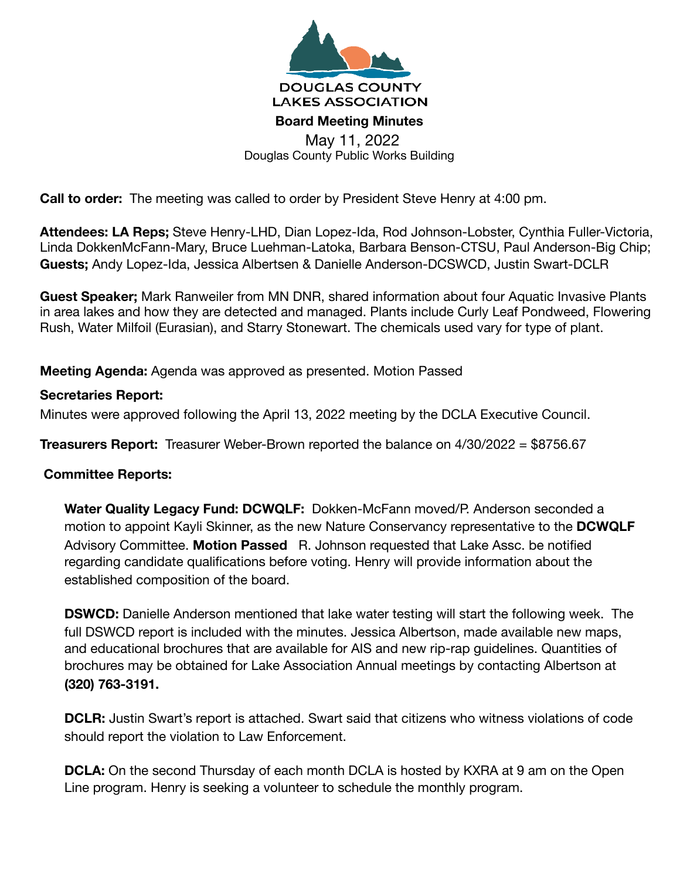

Douglas County Public Works Building

**Call to order:** The meeting was called to order by President Steve Henry at 4:00 pm.

**Attendees: LA Reps;** Steve Henry-LHD, Dian Lopez-Ida, Rod Johnson-Lobster, Cynthia Fuller-Victoria, Linda DokkenMcFann-Mary, Bruce Luehman-Latoka, Barbara Benson-CTSU, Paul Anderson-Big Chip; **Guests;** Andy Lopez-Ida, Jessica Albertsen & Danielle Anderson-DCSWCD, Justin Swart-DCLR

**Guest Speaker;** Mark Ranweiler from MN DNR, shared information about four Aquatic Invasive Plants in area lakes and how they are detected and managed. Plants include Curly Leaf Pondweed, Flowering Rush, Water Milfoil (Eurasian), and Starry Stonewart. The chemicals used vary for type of plant.

**Meeting Agenda:** Agenda was approved as presented. Motion Passed

## **Secretaries Report:**

Minutes were approved following the April 13, 2022 meeting by the DCLA Executive Council.

**Treasurers Report:** Treasurer Weber-Brown reported the balance on 4/30/2022 = \$8756.67

## **Committee Reports:**

**Water Quality Legacy Fund: DCWQLF:** Dokken-McFann moved/P. Anderson seconded a motion to appoint Kayli Skinner, as the new Nature Conservancy representative to the **DCWQLF**  Advisory Committee. **Motion Passed** R. Johnson requested that Lake Assc. be notified regarding candidate qualifications before voting. Henry will provide information about the established composition of the board.

**DSWCD:** Danielle Anderson mentioned that lake water testing will start the following week. The full DSWCD report is included with the minutes. Jessica Albertson, made available new maps, and educational brochures that are available for AIS and new rip-rap guidelines. Quantities of brochures may be obtained for Lake Association Annual meetings by contacting Albertson at **(320) 763-3191.** 

**DCLR:** Justin Swart's report is attached. Swart said that citizens who witness violations of code should report the violation to Law Enforcement.

**DCLA:** On the second Thursday of each month DCLA is hosted by KXRA at 9 am on the Open Line program. Henry is seeking a volunteer to schedule the monthly program.